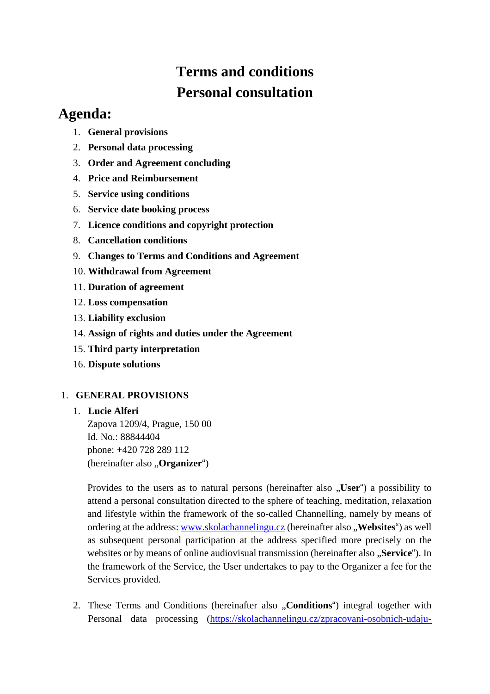# **Terms and conditions Personal consultation**

# **Agenda:**

- 1. **General provisions**
- 2. **Personal data processing**
- 3. **Order and Agreement concluding**
- 4. **Price and Reimbursement**
- 5. **Service using conditions**
- 6. **Service date booking process**
- 7. **Licence conditions and copyright protection**
- 8. **Cancellation conditions**
- 9. **Changes to Terms and Conditions and Agreement**
- 10. **Withdrawal from Agreement**
- 11. **Duration of agreement**
- 12. **Loss compensation**
- 13. **Liability exclusion**
- 14. **Assign of rights and duties under the Agreement**
- 15. **Third party interpretation**
- 16. **Dispute solutions**

# 1. **GENERAL PROVISIONS**

# 1. **Lucie Alferi**

Zapova 1209/4, Prague, 150 00 Id. No.: 88844404 phone: +420 728 289 112 (hereinafter also "**Organizer**")

Provides to the users as to natural persons (hereinafter also "User") a possibility to attend a personal consultation directed to the sphere of teaching, meditation, relaxation and lifestyle within the framework of the so-called Channelling, namely by means of ordering at the address: [www.skolachannelingu.cz](http://www.skolachannelingu.cz/) (hereinafter also , **Websites**") as well as subsequent personal participation at the address specified more precisely on the websites or by means of online audiovisual transmission (hereinafter also "Service"). In the framework of the Service, the User undertakes to pay to the Organizer a fee for the Services provided.

2. These Terms and Conditions (hereinafter also "**Conditions**") integral together with Personal data processing [\(https://skolachannelingu.cz/zpracovani-osobnich-udaju-](https://skolachannelingu.cz/zpracovani-osobnich-udaju-gdpr/)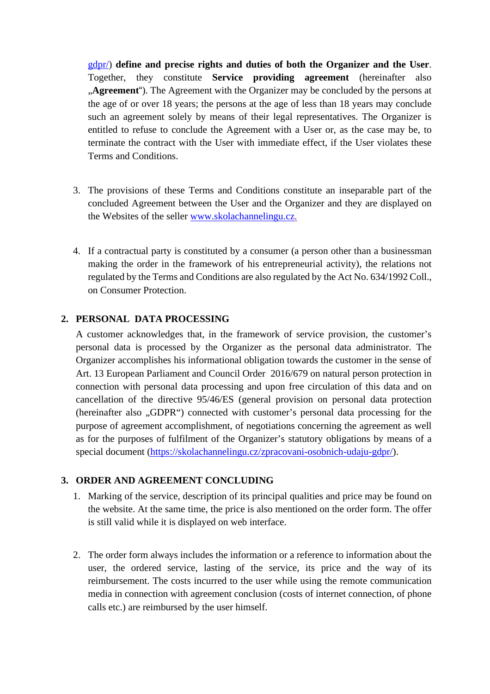[gdpr/\)](https://skolachannelingu.cz/zpracovani-osobnich-udaju-gdpr/) **define and precise rights and duties of both the Organizer and the User**. Together, they constitute **Service providing agreement** (hereinafter also **Agreement**"). The Agreement with the Organizer may be concluded by the persons at the age of or over 18 years; the persons at the age of less than 18 years may conclude such an agreement solely by means of their legal representatives. The Organizer is entitled to refuse to conclude the Agreement with a User or, as the case may be, to terminate the contract with the User with immediate effect, if the User violates these Terms and Conditions.

- 3. The provisions of these Terms and Conditions constitute an inseparable part of the concluded Agreement between the User and the Organizer and they are displayed on the Websites of the seller [www.skolachannelingu.cz.](http://www.skolachannelingu.cz/)
- 4. If a contractual party is constituted by a consumer (a person other than a businessman making the order in the framework of his entrepreneurial activity), the relations not regulated by the Terms and Conditions are also regulated by the Act No. 634/1992 Coll., on Consumer Protection.

#### **2. PERSONAL DATA PROCESSING**

A customer acknowledges that, in the framework of service provision, the customer's personal data is processed by the Organizer as the personal data administrator. The Organizer accomplishes his informational obligation towards the customer in the sense of Art. 13 European Parliament and Council Order 2016/679 on natural person protection in connection with personal data processing and upon free circulation of this data and on cancellation of the directive 95/46/ES (general provision on personal data protection (hereinafter also "GDPR") connected with customer's personal data processing for the purpose of agreement accomplishment, of negotiations concerning the agreement as well as for the purposes of fulfilment of the Organizer's statutory obligations by means of a special document [\(https://skolachannelingu.cz/zpracovani-osobnich-udaju-gdpr/\)](https://skolachannelingu.cz/zpracovani-osobnich-udaju-gdpr/).

#### **3. ORDER AND AGREEMENT CONCLUDING**

- 1. Marking of the service, description of its principal qualities and price may be found on the website. At the same time, the price is also mentioned on the order form. The offer is still valid while it is displayed on web interface.
- 2. The order form always includes the information or a reference to information about the user, the ordered service, lasting of the service, its price and the way of its reimbursement. The costs incurred to the user while using the remote communication media in connection with agreement conclusion (costs of internet connection, of phone calls etc.) are reimbursed by the user himself.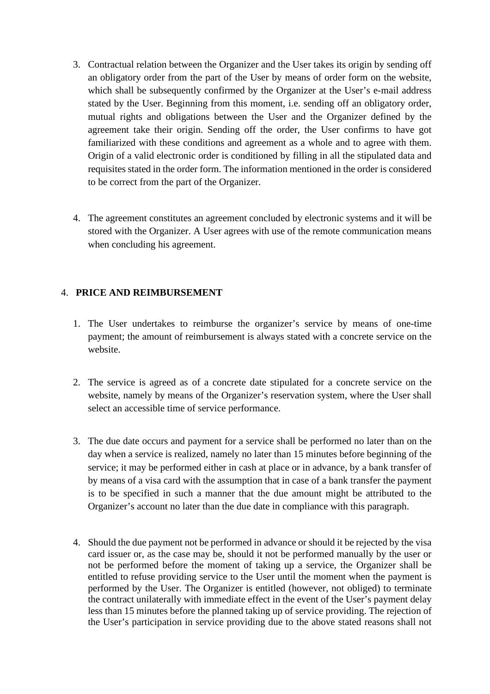- 3. Contractual relation between the Organizer and the User takes its origin by sending off an obligatory order from the part of the User by means of order form on the website, which shall be subsequently confirmed by the Organizer at the User's e-mail address stated by the User. Beginning from this moment, i.e. sending off an obligatory order, mutual rights and obligations between the User and the Organizer defined by the agreement take their origin. Sending off the order, the User confirms to have got familiarized with these conditions and agreement as a whole and to agree with them. Origin of a valid electronic order is conditioned by filling in all the stipulated data and requisites stated in the order form. The information mentioned in the order is considered to be correct from the part of the Organizer.
- 4. The agreement constitutes an agreement concluded by electronic systems and it will be stored with the Organizer. A User agrees with use of the remote communication means when concluding his agreement.

# 4. **PRICE AND REIMBURSEMENT**

- 1. The User undertakes to reimburse the organizer's service by means of one-time payment; the amount of reimbursement is always stated with a concrete service on the website.
- 2. The service is agreed as of a concrete date stipulated for a concrete service on the website, namely by means of the Organizer's reservation system, where the User shall select an accessible time of service performance.
- 3. The due date occurs and payment for a service shall be performed no later than on the day when a service is realized, namely no later than 15 minutes before beginning of the service; it may be performed either in cash at place or in advance, by a bank transfer of by means of a visa card with the assumption that in case of a bank transfer the payment is to be specified in such a manner that the due amount might be attributed to the Organizer's account no later than the due date in compliance with this paragraph.
- 4. Should the due payment not be performed in advance or should it be rejected by the visa card issuer or, as the case may be, should it not be performed manually by the user or not be performed before the moment of taking up a service, the Organizer shall be entitled to refuse providing service to the User until the moment when the payment is performed by the User. The Organizer is entitled (however, not obliged) to terminate the contract unilaterally with immediate effect in the event of the User's payment delay less than 15 minutes before the planned taking up of service providing. The rejection of the User's participation in service providing due to the above stated reasons shall not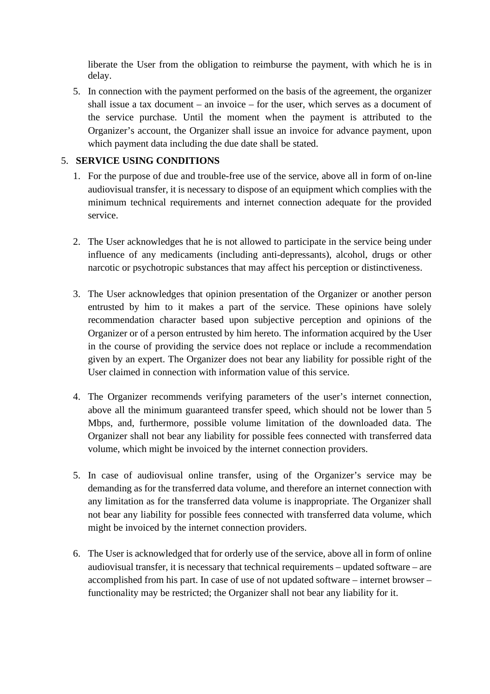liberate the User from the obligation to reimburse the payment, with which he is in delay.

5. In connection with the payment performed on the basis of the agreement, the organizer shall issue a tax document – an invoice – for the user, which serves as a document of the service purchase. Until the moment when the payment is attributed to the Organizer's account, the Organizer shall issue an invoice for advance payment, upon which payment data including the due date shall be stated.

# 5. **SERVICE USING CONDITIONS**

- 1. For the purpose of due and trouble-free use of the service, above all in form of on-line audiovisual transfer, it is necessary to dispose of an equipment which complies with the minimum technical requirements and internet connection adequate for the provided service.
- 2. The User acknowledges that he is not allowed to participate in the service being under influence of any medicaments (including anti-depressants), alcohol, drugs or other narcotic or psychotropic substances that may affect his perception or distinctiveness.
- 3. The User acknowledges that opinion presentation of the Organizer or another person entrusted by him to it makes a part of the service. These opinions have solely recommendation character based upon subjective perception and opinions of the Organizer or of a person entrusted by him hereto. The information acquired by the User in the course of providing the service does not replace or include a recommendation given by an expert. The Organizer does not bear any liability for possible right of the User claimed in connection with information value of this service.
- 4. The Organizer recommends verifying parameters of the user's internet connection, above all the minimum guaranteed transfer speed, which should not be lower than 5 Mbps, and, furthermore, possible volume limitation of the downloaded data. The Organizer shall not bear any liability for possible fees connected with transferred data volume, which might be invoiced by the internet connection providers.
- 5. In case of audiovisual online transfer, using of the Organizer's service may be demanding as for the transferred data volume, and therefore an internet connection with any limitation as for the transferred data volume is inappropriate. The Organizer shall not bear any liability for possible fees connected with transferred data volume, which might be invoiced by the internet connection providers.
- 6. The User is acknowledged that for orderly use of the service, above all in form of online audiovisual transfer, it is necessary that technical requirements – updated software – are accomplished from his part. In case of use of not updated software – internet browser – functionality may be restricted; the Organizer shall not bear any liability for it.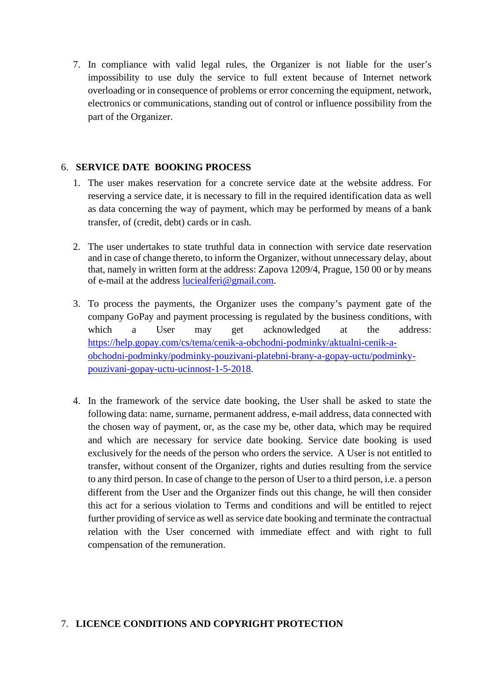7. In compliance with valid legal rules, the Organizer is not liable for the user's impossibility to use duly the service to full extent because of Internet network overloading or in consequence of problems or error concerning the equipment, network, electronics or communications, standing out of control or influence possibility from the part of the Organizer.

### 6. **SERVICE DATE BOOKING PROCESS**

- 1. The user makes reservation for a concrete service date at the website address. For reserving a service date, it is necessary to fill in the required identification data as well as data concerning the way of payment, which may be performed by means of a bank transfer, of (credit, debt) cards or in cash.
- 2. The user undertakes to state truthful data in connection with service date reservation and in case of change thereto, to inform the Organizer, without unnecessary delay, about that, namely in written form at the address: Zapova 1209/4, Prague, 150 00 or by means of e-mail at the address [luciealferi@gmail.com.](mailto:luciealferi@gmail.com)
- 3. To process the payments, the Organizer uses the company's payment gate of the company GoPay and payment processing is regulated by the business conditions, with which a User may get acknowledged at the address: [https://help.gopay.com/cs/tema/cenik-a-obchodni-podminky/aktualni-cenik-a](https://help.gopay.com/cs/tema/cenik-a-obchodni-podminky/aktualni-cenik-a-obchodni-podminky/podminky-pouzivani-platebni-brany-a-gopay-uctu/podminky-pouzivani-gopay-uctu-ucinnost-1-5-2018)[obchodni-podminky/podminky-pouzivani-platebni-brany-a-gopay-uctu/podminky](https://help.gopay.com/cs/tema/cenik-a-obchodni-podminky/aktualni-cenik-a-obchodni-podminky/podminky-pouzivani-platebni-brany-a-gopay-uctu/podminky-pouzivani-gopay-uctu-ucinnost-1-5-2018)[pouzivani-gopay-uctu-ucinnost-1-5-2018.](https://help.gopay.com/cs/tema/cenik-a-obchodni-podminky/aktualni-cenik-a-obchodni-podminky/podminky-pouzivani-platebni-brany-a-gopay-uctu/podminky-pouzivani-gopay-uctu-ucinnost-1-5-2018)
- 4. In the framework of the service date booking, the User shall be asked to state the following data: name, surname, permanent address, e-mail address, data connected with the chosen way of payment, or, as the case my be, other data, which may be required and which are necessary for service date booking. Service date booking is used exclusively for the needs of the person who orders the service. A User is not entitled to transfer, without consent of the Organizer, rights and duties resulting from the service to any third person. In case of change to the person of User to a third person, i.e. a person different from the User and the Organizer finds out this change, he will then consider this act for a serious violation to Terms and conditions and will be entitled to reject further providing of service as well as service date booking and terminate the contractual relation with the User concerned with immediate effect and with right to full compensation of the remuneration.

#### 7. **LICENCE CONDITIONS AND COPYRIGHT PROTECTION**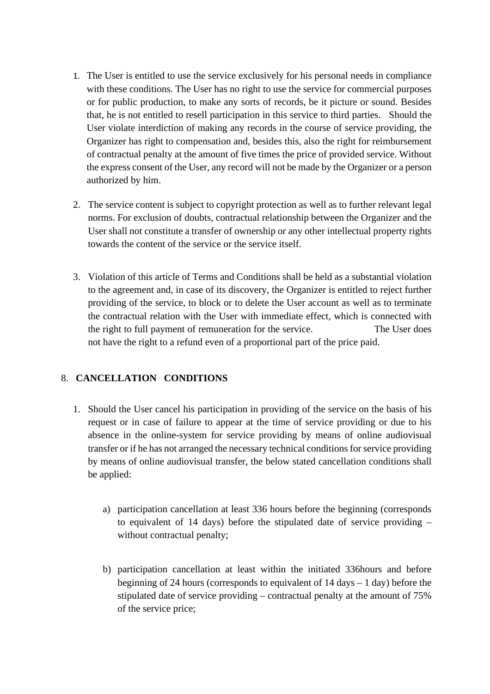- 1. The User is entitled to use the service exclusively for his personal needs in compliance with these conditions. The User has no right to use the service for commercial purposes or for public production, to make any sorts of records, be it picture or sound. Besides that, he is not entitled to resell participation in this service to third parties. Should the User violate interdiction of making any records in the course of service providing, the Organizer has right to compensation and, besides this, also the right for reimbursement of contractual penalty at the amount of five times the price of provided service. Without the express consent of the User, any record will not be made by the Organizer or a person authorized by him.
- 2. The service content is subject to copyright protection as well as to further relevant legal norms. For exclusion of doubts, contractual relationship between the Organizer and the User shall not constitute a transfer of ownership or any other intellectual property rights towards the content of the service or the service itself.
- 3. Violation of this article of Terms and Conditions shall be held as a substantial violation to the agreement and, in case of its discovery, the Organizer is entitled to reject further providing of the service, to block or to delete the User account as well as to terminate the contractual relation with the User with immediate effect, which is connected with the right to full payment of remuneration for the service. The User does not have the right to a refund even of a proportional part of the price paid.

# 8. **CANCELLATION CONDITIONS**

- 1. Should the User cancel his participation in providing of the service on the basis of his request or in case of failure to appear at the time of service providing or due to his absence in the online-system for service providing by means of online audiovisual transfer or if he has not arranged the necessary technical conditions for service providing by means of online audiovisual transfer, the below stated cancellation conditions shall be applied:
	- a) participation cancellation at least 336 hours before the beginning (corresponds to equivalent of 14 days) before the stipulated date of service providing – without contractual penalty;
	- b) participation cancellation at least within the initiated 336hours and before beginning of 24 hours (corresponds to equivalent of  $14 \text{ days} - 1 \text{ day}$ ) before the stipulated date of service providing – contractual penalty at the amount of 75% of the service price;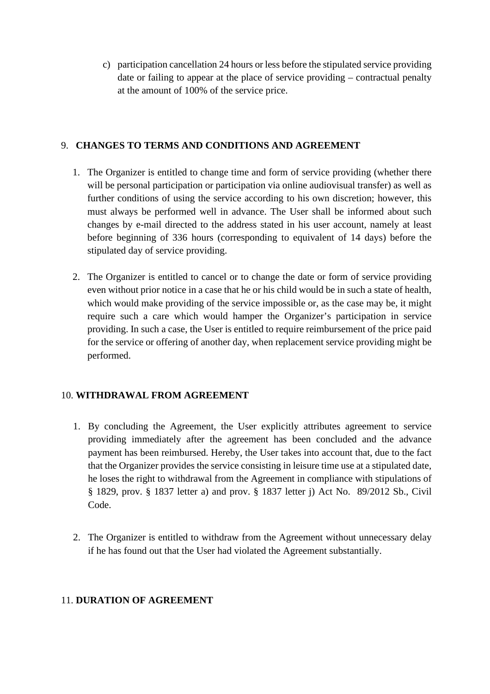c) participation cancellation 24 hours or less before the stipulated service providing date or failing to appear at the place of service providing – contractual penalty at the amount of 100% of the service price.

## 9. **CHANGES TO TERMS AND CONDITIONS AND AGREEMENT**

- 1. The Organizer is entitled to change time and form of service providing (whether there will be personal participation or participation via online audiovisual transfer) as well as further conditions of using the service according to his own discretion; however, this must always be performed well in advance. The User shall be informed about such changes by e-mail directed to the address stated in his user account, namely at least before beginning of 336 hours (corresponding to equivalent of 14 days) before the stipulated day of service providing.
- 2. The Organizer is entitled to cancel or to change the date or form of service providing even without prior notice in a case that he or his child would be in such a state of health, which would make providing of the service impossible or, as the case may be, it might require such a care which would hamper the Organizer's participation in service providing. In such a case, the User is entitled to require reimbursement of the price paid for the service or offering of another day, when replacement service providing might be performed.

# 10. **WITHDRAWAL FROM AGREEMENT**

- 1. By concluding the Agreement, the User explicitly attributes agreement to service providing immediately after the agreement has been concluded and the advance payment has been reimbursed. Hereby, the User takes into account that, due to the fact that the Organizer provides the service consisting in leisure time use at a stipulated date, he loses the right to withdrawal from the Agreement in compliance with stipulations of § 1829, prov. § 1837 letter a) and prov. § 1837 letter j) Act No. 89/2012 Sb., Civil Code.
- 2. The Organizer is entitled to withdraw from the Agreement without unnecessary delay if he has found out that the User had violated the Agreement substantially.

#### 11. **DURATION OF AGREEMENT**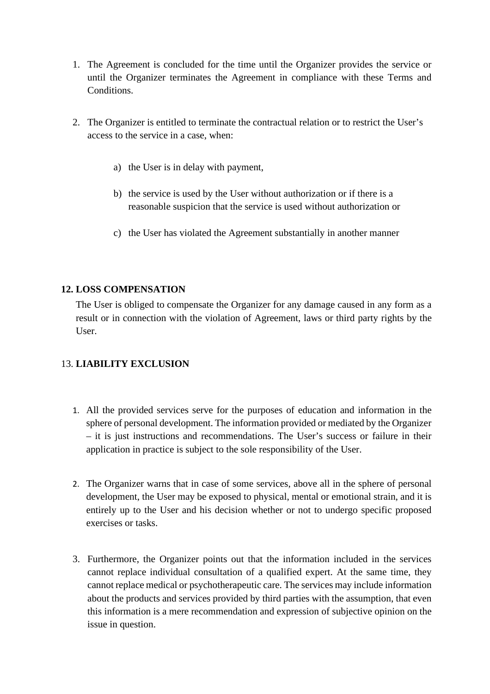- 1. The Agreement is concluded for the time until the Organizer provides the service or until the Organizer terminates the Agreement in compliance with these Terms and Conditions.
- 2. The Organizer is entitled to terminate the contractual relation or to restrict the User's access to the service in a case, when:
	- a) the User is in delay with payment,
	- b) the service is used by the User without authorization or if there is a reasonable suspicion that the service is used without authorization or
	- c) the User has violated the Agreement substantially in another manner

### **12. LOSS COMPENSATION**

The User is obliged to compensate the Organizer for any damage caused in any form as a result or in connection with the violation of Agreement, laws or third party rights by the User.

# 13. **LIABILITY EXCLUSION**

- 1. All the provided services serve for the purposes of education and information in the sphere of personal development. The information provided or mediated by the Organizer – it is just instructions and recommendations. The User's success or failure in their application in practice is subject to the sole responsibility of the User.
- 2. The Organizer warns that in case of some services, above all in the sphere of personal development, the User may be exposed to physical, mental or emotional strain, and it is entirely up to the User and his decision whether or not to undergo specific proposed exercises or tasks.
- 3. Furthermore, the Organizer points out that the information included in the services cannot replace individual consultation of a qualified expert. At the same time, they cannot replace medical or psychotherapeutic care. The services may include information about the products and services provided by third parties with the assumption, that even this information is a mere recommendation and expression of subjective opinion on the issue in question.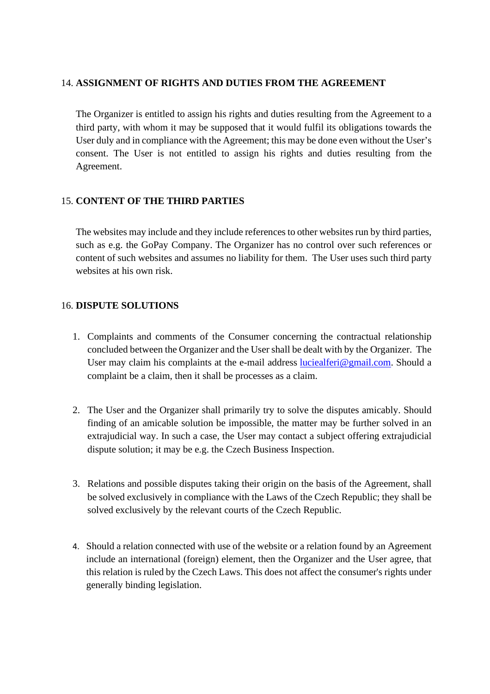#### 14. **ASSIGNMENT OF RIGHTS AND DUTIES FROM THE AGREEMENT**

The Organizer is entitled to assign his rights and duties resulting from the Agreement to a third party, with whom it may be supposed that it would fulfil its obligations towards the User duly and in compliance with the Agreement; this may be done even without the User's consent. The User is not entitled to assign his rights and duties resulting from the Agreement.

### 15. **CONTENT OF THE THIRD PARTIES**

The websites may include and they include references to other websites run by third parties, such as e.g. the GoPay Company. The Organizer has no control over such references or content of such websites and assumes no liability for them. The User uses such third party websites at his own risk.

#### 16. **DISPUTE SOLUTIONS**

- 1. Complaints and comments of the Consumer concerning the contractual relationship concluded between the Organizer and the User shall be dealt with by the Organizer. The User may claim his complaints at the e-mail address [luciealferi@gmail.com.](mailto:luciealferi@gmail.com) Should a complaint be a claim, then it shall be processes as a claim.
- 2. The User and the Organizer shall primarily try to solve the disputes amicably. Should finding of an amicable solution be impossible, the matter may be further solved in an extrajudicial way. In such a case, the User may contact a subject offering extrajudicial dispute solution; it may be e.g. the Czech Business Inspection.
- 3. Relations and possible disputes taking their origin on the basis of the Agreement, shall be solved exclusively in compliance with the Laws of the Czech Republic; they shall be solved exclusively by the relevant courts of the Czech Republic.
- 4. Should a relation connected with use of the website or a relation found by an Agreement include an international (foreign) element, then the Organizer and the User agree, that this relation is ruled by the Czech Laws. This does not affect the consumer's rights under generally binding legislation.